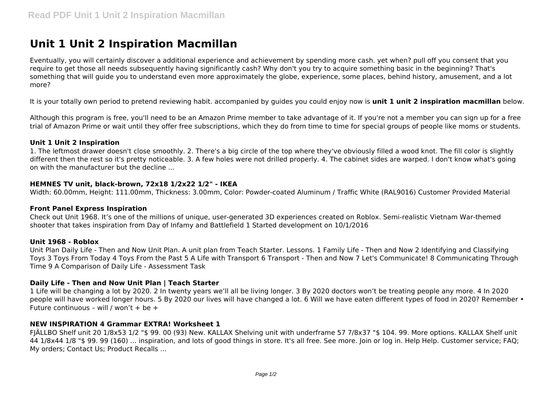# **Unit 1 Unit 2 Inspiration Macmillan**

Eventually, you will certainly discover a additional experience and achievement by spending more cash. yet when? pull off you consent that you require to get those all needs subsequently having significantly cash? Why don't you try to acquire something basic in the beginning? That's something that will guide you to understand even more approximately the globe, experience, some places, behind history, amusement, and a lot more?

It is your totally own period to pretend reviewing habit. accompanied by guides you could enjoy now is **unit 1 unit 2 inspiration macmillan** below.

Although this program is free, you'll need to be an Amazon Prime member to take advantage of it. If you're not a member you can sign up for a free trial of Amazon Prime or wait until they offer free subscriptions, which they do from time to time for special groups of people like moms or students.

## **Unit 1 Unit 2 Inspiration**

1. The leftmost drawer doesn't close smoothly. 2. There's a big circle of the top where they've obviously filled a wood knot. The fill color is slightly different then the rest so it's pretty noticeable. 3. A few holes were not drilled properly. 4. The cabinet sides are warped. I don't know what's going on with the manufacturer but the decline ...

## **HEMNES TV unit, black-brown, 72x18 1/2x22 1/2" - IKEA**

Width: 60.00mm, Height: 111.00mm, Thickness: 3.00mm, Color: Powder-coated Aluminum / Traffic White (RAL9016) Customer Provided Material

#### **Front Panel Express Inspiration**

Check out Unit 1968. It's one of the millions of unique, user-generated 3D experiences created on Roblox. Semi-realistic Vietnam War-themed shooter that takes inspiration from Day of Infamy and Battlefield 1 Started development on 10/1/2016

#### **Unit 1968 - Roblox**

Unit Plan Daily Life - Then and Now Unit Plan. A unit plan from Teach Starter. Lessons. 1 Family Life - Then and Now 2 Identifying and Classifying Toys 3 Toys From Today 4 Toys From the Past 5 A Life with Transport 6 Transport - Then and Now 7 Let's Communicate! 8 Communicating Through Time 9 A Comparison of Daily Life - Assessment Task

## **Daily Life - Then and Now Unit Plan | Teach Starter**

1 Life will be changing a lot by 2020. 2 In twenty years we'll all be living longer. 3 By 2020 doctors won't be treating people any more. 4 In 2020 people will have worked longer hours. 5 By 2020 our lives will have changed a lot. 6 Will we have eaten different types of food in 2020? Remember • Future continuous – will / won't + be +

## **NEW INSPIRATION 4 Grammar EXTRA! Worksheet 1**

FJÄLLBO Shelf unit 20 1/8x53 1/2 "\$ 99. 00 (93) New. KALLAX Shelving unit with underframe 57 7/8x37 "\$ 104. 99. More options. KALLAX Shelf unit 44 1/8x44 1/8 "\$ 99. 99 (160) ... inspiration, and lots of good things in store. It's all free. See more. Join or log in. Help Help. Customer service; FAQ; My orders; Contact Us; Product Recalls ...